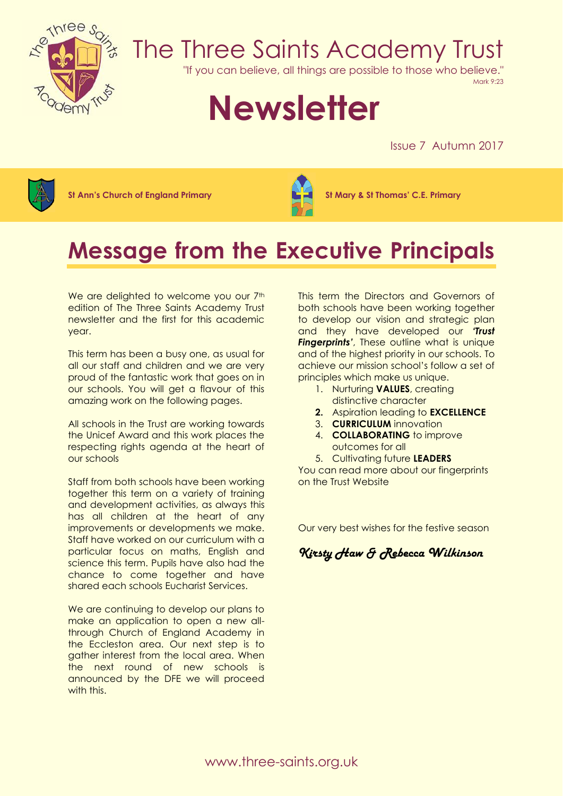

## The Three Saints Academy Trust

"If you can believe, all things are possible to those who believe."

Mark 9:23

# **Newsletter**

Issue 7 Autumn 2017



**St Ann's Church of England Primary St Mary & St Thomas' C.E. Primary**



### **Message from the Executive Principals**

We are delighted to welcome you our 7<sup>th</sup> edition of The Three Saints Academy Trust newsletter and the first for this academic year.

This term has been a busy one, as usual for all our staff and children and we are very proud of the fantastic work that goes on in our schools. You will get a flavour of this amazing work on the following pages.

All schools in the Trust are working towards the Unicef Award and this work places the respecting rights agenda at the heart of our schools

Staff from both schools have been working together this term on a variety of training and development activities, as always this has all children at the heart of any improvements or developments we make. Staff have worked on our curriculum with a particular focus on maths, English and science this term. Pupils have also had the chance to come together and have shared each schools Eucharist Services.

We are continuing to develop our plans to make an application to open a new allthrough Church of England Academy in the Eccleston area. Our next step is to gather interest from the local area. When the next round of new schools is announced by the DFE we will proceed with this.

This term the Directors and Governors of both schools have been working together to develop our vision and strategic plan and they have developed our *'Trust Fingerprints'*, These outline what is unique and of the highest priority in our schools. To achieve our mission school's follow a set of principles which make us unique.

- 1. Nurturing **VALUES**, creating distinctive character
- **2.** Aspiration leading to **EXCELLENCE**
- 3. **CURRICULUM** innovation
- 4. **COLLABORATING** to improve outcomes for all
- 5. Cultivating future **LEADERS**

You can read more about our fingerprints on the Trust Website

Our very best wishes for the festive season

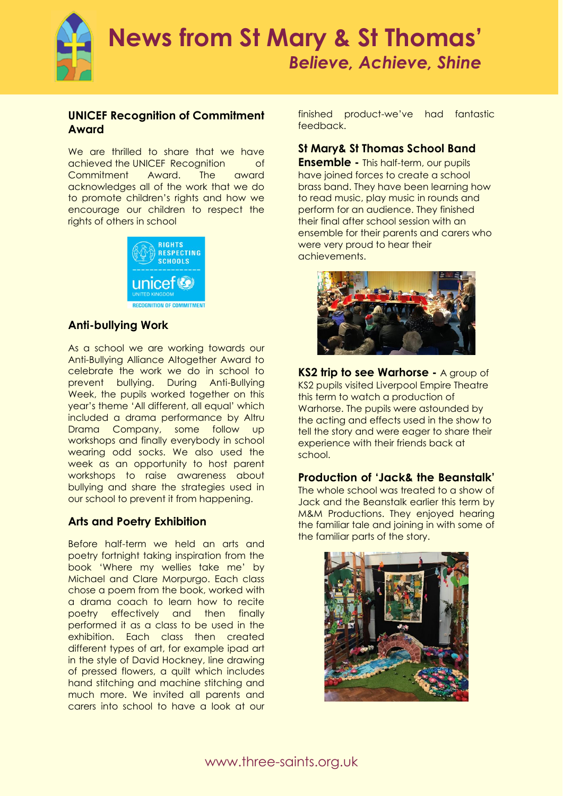

#### **UNICEF Recognition of Commitment Award**

We are thrilled to share that we have achieved the UNICEF Recognition of Commitment Award. The award acknowledges all of the work that we do to promote children's rights and how we encourage our children to respect the rights of others in school



#### **Anti-bullying Work**

As a school we are working towards our Anti-Bullying Alliance Altogether Award to celebrate the work we do in school to prevent bullying. During Anti-Bullying Week, the pupils worked together on this year's theme 'All different, all equal' which included a drama performance by Altru Drama Company, some follow up workshops and finally everybody in school wearing odd socks. We also used the week as an opportunity to host parent workshops to raise awareness about bullying and share the strategies used in our school to prevent it from happening.

#### **Arts and Poetry Exhibition**

Before half-term we held an arts and poetry fortnight taking inspiration from the book 'Where my wellies take me' by Michael and Clare Morpurgo. Each class chose a poem from the book, worked with a drama coach to learn how to recite poetry effectively and then finally performed it as a class to be used in the exhibition. Each class then created different types of art, for example ipad art in the style of David Hockney, line drawing of pressed flowers, a quilt which includes hand stitching and machine stitching and much more. We invited all parents and carers into school to have a look at our finished product-we've had fantastic feedback.

#### **St Mary& St Thomas School Band**

**Ensemble -** This half-term, our pupils have joined forces to create a school brass band. They have been learning how to read music, play music in rounds and perform for an audience. They finished their final after school session with an ensemble for their parents and carers who were very proud to hear their achievements.



**KS2 trip to see Warhorse -** A group of KS2 pupils visited Liverpool Empire Theatre this term to watch a production of Warhorse. The pupils were astounded by the acting and effects used in the show to tell the story and were eager to share their experience with their friends back at school.

#### **Production of 'Jack& the Beanstalk'**

The whole school was treated to a show of Jack and the Beanstalk earlier this term by M&M Productions. They enjoyed hearing the familiar tale and joining in with some of the familiar parts of the story.